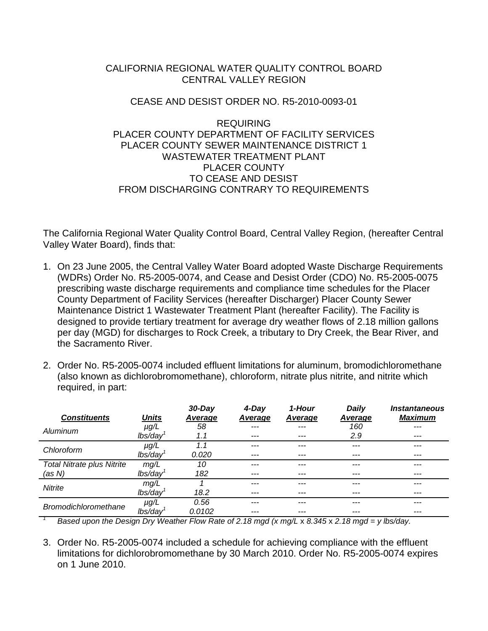# CALIFORNIA REGIONAL WATER QUALITY CONTROL BOARD CENTRAL VALLEY REGION

# CEASE AND DESIST ORDER NO. R5-2010-0093-01

### REQUIRING PLACER COUNTY DEPARTMENT OF FACILITY SERVICES PLACER COUNTY SEWER MAINTENANCE DISTRICT 1 WASTEWATER TREATMENT PLANT PLACER COUNTY TO CEASE AND DESIST FROM DISCHARGING CONTRARY TO REQUIREMENTS

The California Regional Water Quality Control Board, Central Valley Region, (hereafter Central Valley Water Board), finds that:

- 1. On 23 June 2005, the Central Valley Water Board adopted Waste Discharge Requirements (WDRs) Order No. R5-2005-0074, and Cease and Desist Order (CDO) No. R5-2005-0075 prescribing waste discharge requirements and compliance time schedules for the Placer County Department of Facility Services (hereafter Discharger) Placer County Sewer Maintenance District 1 Wastewater Treatment Plant (hereafter Facility). The Facility is designed to provide tertiary treatment for average dry weather flows of 2.18 million gallons per day (MGD) for discharges to Rock Creek, a tributary to Dry Creek, the Bear River, and the Sacramento River.
- 2. Order No. R5-2005-0074 included effluent limitations for aluminum, bromodichloromethane (also known as dichlorobromomethane), chloroform, nitrate plus nitrite, and nitrite which required, in part:

| <b>Constituents</b>               | <b>Units</b> | $30$ -Day<br>Average | 4-Day<br>Average | 1-Hour<br>Average | Daily<br><b>Average</b> | <i><b>Instantaneous</b></i><br><b>Maximum</b> |
|-----------------------------------|--------------|----------------------|------------------|-------------------|-------------------------|-----------------------------------------------|
| Aluminum                          | $\mu$ g/L    | 58                   | ---              | ---               | 160                     | ---                                           |
|                                   | lbs/day      | 1.1                  | $---$            | ---               | 2.9                     | ---                                           |
| Chloroform                        | $\mu$ g/L    | 1.1                  | ---              | ---               | ---                     | ---                                           |
|                                   | lbs/day      | 0.020                | ---              |                   |                         | ---                                           |
| <b>Total Nitrate plus Nitrite</b> | mg/L         | 10                   | ---              |                   |                         |                                               |
| (as N)                            | lbs/day      | 182                  | ---              | ---               | ---                     | ---                                           |
| <b>Nitrite</b>                    | mg/L         |                      | ---              | ---               | ---                     | ---                                           |
|                                   | lbs/day      | 18.2                 | ---              | ---               | ---                     | ---                                           |
| <b>Bromodichloromethane</b>       | $\mu$ g/L    | 0.56                 | ---              | ---               | ---                     | ---                                           |
|                                   | lbs/dav      | 0.0102               | ---              |                   |                         | ---                                           |

*lbs/day<sup>1</sup> 0.0102 --- --- --- --- <sup>1</sup> Based upon the Design Dry Weather Flow Rate of 2.18 mgd (x mg/L* <sup>x</sup> *8.345* <sup>x</sup> *2.18 mgd = y lbs/day.*

3. Order No. R5-2005-0074 included a schedule for achieving compliance with the effluent limitations for dichlorobromomethane by 30 March 2010. Order No. R5-2005-0074 expires on 1 June 2010.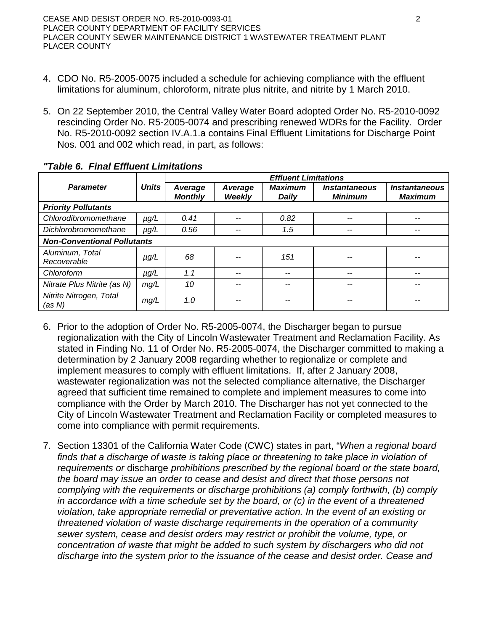- 4. CDO No. R5-2005-0075 included a schedule for achieving compliance with the effluent limitations for aluminum, chloroform, nitrate plus nitrite, and nitrite by 1 March 2010.
- 5. On 22 September 2010, the Central Valley Water Board adopted Order No. R5-2010-0092 rescinding Order No. R5-2005-0074 and prescribing renewed WDRs for the Facility. Order No. R5-2010-0092 section IV.A.1.a contains Final Effluent Limitations for Discharge Point Nos. 001 and 002 which read, in part, as follows:

|                                    |              | <b>Effluent Limitations</b> |                          |                                |                                               |                                               |  |  |  |
|------------------------------------|--------------|-----------------------------|--------------------------|--------------------------------|-----------------------------------------------|-----------------------------------------------|--|--|--|
| <b>Parameter</b>                   | <b>Units</b> | Average<br><b>Monthly</b>   | Average<br><b>Weekly</b> | <b>Maximum</b><br><b>Daily</b> | <i><b>Instantaneous</b></i><br><b>Minimum</b> | <i><b>Instantaneous</b></i><br><b>Maximum</b> |  |  |  |
| <b>Priority Pollutants</b>         |              |                             |                          |                                |                                               |                                               |  |  |  |
| Chlorodibromomethane               | $\mu$ g/L    | 0.41                        | --                       | 0.82                           | --                                            |                                               |  |  |  |
| Dichlorobromomethane               | $\mu g/L$    | 0.56                        | --                       | 1.5                            | --                                            |                                               |  |  |  |
| <b>Non-Conventional Pollutants</b> |              |                             |                          |                                |                                               |                                               |  |  |  |
| Aluminum, Total<br>Recoverable     | $\mu$ g/L    | 68                          |                          | 151                            |                                               |                                               |  |  |  |
| Chloroform                         | $\mu$ g/L    | 1.1                         | --                       | --                             | --                                            |                                               |  |  |  |
| Nitrate Plus Nitrite (as N)        | mg/L         | 10                          | --                       | --                             | --                                            |                                               |  |  |  |
| Nitrite Nitrogen, Total<br>(as N)  | mg/L         | 1.0                         | --                       |                                | --                                            |                                               |  |  |  |

### *"Table 6. Final Effluent Limitations*

- 6. Prior to the adoption of Order No. R5-2005-0074, the Discharger began to pursue regionalization with the City of Lincoln Wastewater Treatment and Reclamation Facility. As stated in Finding No. 11 of Order No. R5-2005-0074, the Discharger committed to making a determination by 2 January 2008 regarding whether to regionalize or complete and implement measures to comply with effluent limitations. If, after 2 January 2008, wastewater regionalization was not the selected compliance alternative, the Discharger agreed that sufficient time remained to complete and implement measures to come into compliance with the Order by March 2010. The Discharger has not yet connected to the City of Lincoln Wastewater Treatment and Reclamation Facility or completed measures to come into compliance with permit requirements.
- 7. Section 13301 of the California Water Code (CWC) states in part, "*When a regional board*  finds that a discharge of waste is taking place or threatening to take place in violation of *requirements or* discharge *prohibitions prescribed by the regional board or the state board, the board may issue an order to cease and desist and direct that those persons not complying with the requirements or discharge prohibitions (a) comply forthwith, (b) comply in accordance with a time schedule set by the board, or (c) in the event of a threatened violation, take appropriate remedial or preventative action. In the event of an existing or threatened violation of waste discharge requirements in the operation of a community sewer system, cease and desist orders may restrict or prohibit the volume, type, or concentration of waste that might be added to such system by dischargers who did not discharge into the system prior to the issuance of the cease and desist order. Cease and*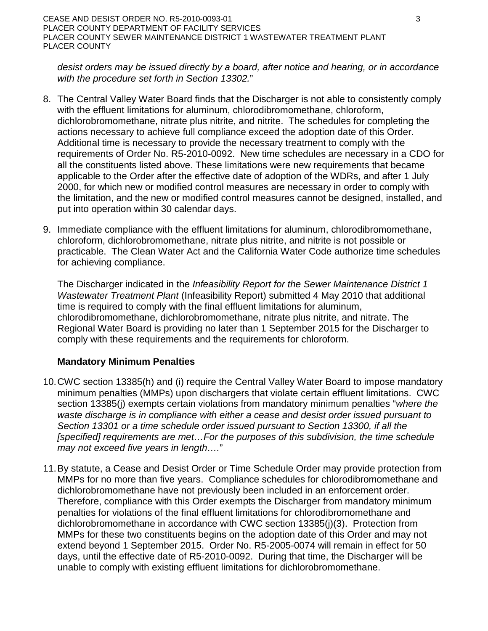*desist orders may be issued directly by a board, after notice and hearing, or in accordance with the procedure set forth in Section 13302.*"

- 8. The Central Valley Water Board finds that the Discharger is not able to consistently comply with the effluent limitations for aluminum, chlorodibromomethane, chloroform, dichlorobromomethane, nitrate plus nitrite, and nitrite. The schedules for completing the actions necessary to achieve full compliance exceed the adoption date of this Order. Additional time is necessary to provide the necessary treatment to comply with the requirements of Order No. R5-2010-0092. New time schedules are necessary in a CDO for all the constituents listed above. These limitations were new requirements that became applicable to the Order after the effective date of adoption of the WDRs, and after 1 July 2000, for which new or modified control measures are necessary in order to comply with the limitation, and the new or modified control measures cannot be designed, installed, and put into operation within 30 calendar days.
- 9. Immediate compliance with the effluent limitations for aluminum, chlorodibromomethane, chloroform, dichlorobromomethane, nitrate plus nitrite, and nitrite is not possible or practicable. The Clean Water Act and the California Water Code authorize time schedules for achieving compliance.

The Discharger indicated in the *Infeasibility Report for the Sewer Maintenance District 1 Wastewater Treatment Plant* (Infeasibility Report) submitted 4 May 2010 that additional time is required to comply with the final effluent limitations for aluminum, chlorodibromomethane, dichlorobromomethane, nitrate plus nitrite, and nitrate. The Regional Water Board is providing no later than 1 September 2015 for the Discharger to comply with these requirements and the requirements for chloroform.

# **Mandatory Minimum Penalties**

- 10.CWC section 13385(h) and (i) require the Central Valley Water Board to impose mandatory minimum penalties (MMPs) upon dischargers that violate certain effluent limitations. CWC section 13385(j) exempts certain violations from mandatory minimum penalties "*where the waste discharge is in compliance with either a cease and desist order issued pursuant to Section 13301 or a time schedule order issued pursuant to Section 13300, if all the [specified] requirements are met…For the purposes of this subdivision, the time schedule may not exceed five years in length….*"
- 11.By statute, a Cease and Desist Order or Time Schedule Order may provide protection from MMPs for no more than five years. Compliance schedules for chlorodibromomethane and dichlorobromomethane have not previously been included in an enforcement order. Therefore, compliance with this Order exempts the Discharger from mandatory minimum penalties for violations of the final effluent limitations for chlorodibromomethane and dichlorobromomethane in accordance with CWC section 13385(j)(3). Protection from MMPs for these two constituents begins on the adoption date of this Order and may not extend beyond 1 September 2015. Order No. R5-2005-0074 will remain in effect for 50 days, until the effective date of R5-2010-0092. During that time, the Discharger will be unable to comply with existing effluent limitations for dichlorobromomethane.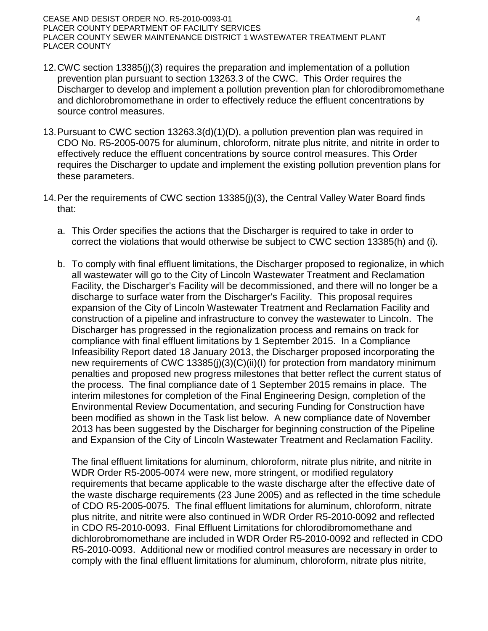CEASE AND DESIST ORDER NO. R5-2010-0093-01 4 PLACER COUNTY DEPARTMENT OF FACILITY SERVICES PLACER COUNTY SEWER MAINTENANCE DISTRICT 1 WASTEWATER TREATMENT PLANT PLACER COUNTY

- 12.CWC section 13385(j)(3) requires the preparation and implementation of a pollution prevention plan pursuant to section 13263.3 of the CWC. This Order requires the Discharger to develop and implement a pollution prevention plan for chlorodibromomethane and dichlorobromomethane in order to effectively reduce the effluent concentrations by source control measures.
- 13.Pursuant to CWC section 13263.3(d)(1)(D), a pollution prevention plan was required in CDO No. R5-2005-0075 for aluminum, chloroform, nitrate plus nitrite, and nitrite in order to effectively reduce the effluent concentrations by source control measures. This Order requires the Discharger to update and implement the existing pollution prevention plans for these parameters.
- 14.Per the requirements of CWC section 13385(j)(3), the Central Valley Water Board finds that:
	- a. This Order specifies the actions that the Discharger is required to take in order to correct the violations that would otherwise be subject to CWC section 13385(h) and (i).
	- b. To comply with final effluent limitations, the Discharger proposed to regionalize, in which all wastewater will go to the City of Lincoln Wastewater Treatment and Reclamation Facility, the Discharger's Facility will be decommissioned, and there will no longer be a discharge to surface water from the Discharger's Facility. This proposal requires expansion of the City of Lincoln Wastewater Treatment and Reclamation Facility and construction of a pipeline and infrastructure to convey the wastewater to Lincoln. The Discharger has progressed in the regionalization process and remains on track for compliance with final effluent limitations by 1 September 2015. In a Compliance Infeasibility Report dated 18 January 2013, the Discharger proposed incorporating the new requirements of CWC 13385(j)(3)(C)(ii)(I) for protection from mandatory minimum penalties and proposed new progress milestones that better reflect the current status of the process. The final compliance date of 1 September 2015 remains in place. The interim milestones for completion of the Final Engineering Design, completion of the Environmental Review Documentation, and securing Funding for Construction have been modified as shown in the Task list below. A new compliance date of November 2013 has been suggested by the Discharger for beginning construction of the Pipeline and Expansion of the City of Lincoln Wastewater Treatment and Reclamation Facility.

The final effluent limitations for aluminum, chloroform, nitrate plus nitrite, and nitrite in WDR Order R5-2005-0074 were new, more stringent, or modified regulatory requirements that became applicable to the waste discharge after the effective date of the waste discharge requirements (23 June 2005) and as reflected in the time schedule of CDO R5-2005-0075. The final effluent limitations for aluminum, chloroform, nitrate plus nitrite, and nitrite were also continued in WDR Order R5-2010-0092 and reflected in CDO R5-2010-0093. Final Effluent Limitations for chlorodibromomethane and dichlorobromomethane are included in WDR Order R5-2010-0092 and reflected in CDO R5-2010-0093. Additional new or modified control measures are necessary in order to comply with the final effluent limitations for aluminum, chloroform, nitrate plus nitrite,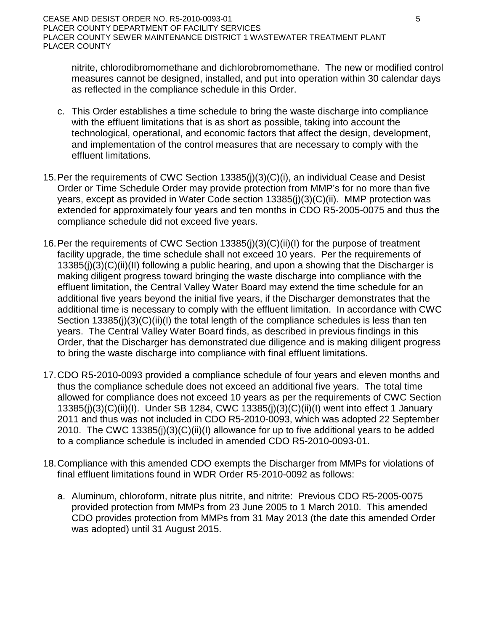nitrite, chlorodibromomethane and dichlorobromomethane. The new or modified control measures cannot be designed, installed, and put into operation within 30 calendar days as reflected in the compliance schedule in this Order.

- c. This Order establishes a time schedule to bring the waste discharge into compliance with the effluent limitations that is as short as possible, taking into account the technological, operational, and economic factors that affect the design, development, and implementation of the control measures that are necessary to comply with the effluent limitations.
- 15.Per the requirements of CWC Section 13385(j)(3)(C)(i), an individual Cease and Desist Order or Time Schedule Order may provide protection from MMP's for no more than five years, except as provided in Water Code section 13385(j)(3)(C)(ii). MMP protection was extended for approximately four years and ten months in CDO R5-2005-0075 and thus the compliance schedule did not exceed five years.
- 16.Per the requirements of CWC Section 13385(j)(3)(C)(ii)(I) for the purpose of treatment facility upgrade, the time schedule shall not exceed 10 years. Per the requirements of 13385(j)(3)(C)(ii)(II) following a public hearing, and upon a showing that the Discharger is making diligent progress toward bringing the waste discharge into compliance with the effluent limitation, the Central Valley Water Board may extend the time schedule for an additional five years beyond the initial five years, if the Discharger demonstrates that the additional time is necessary to comply with the effluent limitation. In accordance with CWC Section 13385(j)(3)(C)(ii)(l) the total length of the compliance schedules is less than ten years. The Central Valley Water Board finds, as described in previous findings in this Order, that the Discharger has demonstrated due diligence and is making diligent progress to bring the waste discharge into compliance with final effluent limitations.
- 17.CDO R5-2010-0093 provided a compliance schedule of four years and eleven months and thus the compliance schedule does not exceed an additional five years. The total time allowed for compliance does not exceed 10 years as per the requirements of CWC Section 13385(j)(3)(C)(ii)(I). Under SB 1284, CWC 13385(j)(3)(C)(ii)(I) went into effect 1 January 2011 and thus was not included in CDO R5-2010-0093, which was adopted 22 September 2010. The CWC 13385(j)(3)(C)(ii)(I) allowance for up to five additional years to be added to a compliance schedule is included in amended CDO R5-2010-0093-01.
- 18.Compliance with this amended CDO exempts the Discharger from MMPs for violations of final effluent limitations found in WDR Order R5-2010-0092 as follows:
	- a. Aluminum, chloroform, nitrate plus nitrite, and nitrite: Previous CDO R5-2005-0075 provided protection from MMPs from 23 June 2005 to 1 March 2010. This amended CDO provides protection from MMPs from 31 May 2013 (the date this amended Order was adopted) until 31 August 2015.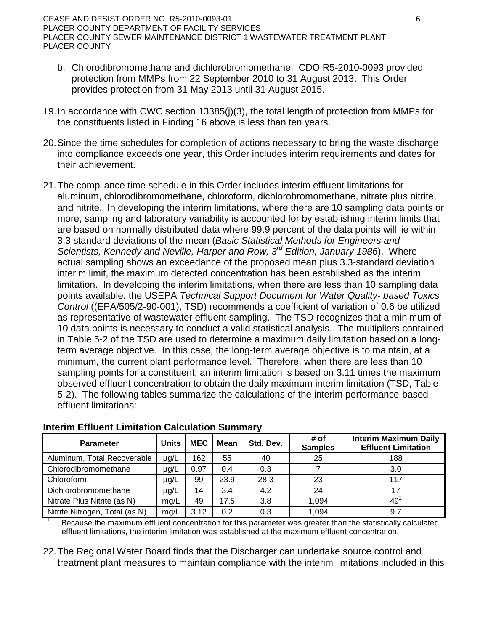#### CEASE AND DESIST ORDER NO. R5-2010-0093-01 6 PLACER COUNTY DEPARTMENT OF FACILITY SERVICES PLACER COUNTY SEWER MAINTENANCE DISTRICT 1 WASTEWATER TREATMENT PLANT PLACER COUNTY

- b. Chlorodibromomethane and dichlorobromomethane: CDO R5-2010-0093 provided protection from MMPs from 22 September 2010 to 31 August 2013. This Order provides protection from 31 May 2013 until 31 August 2015.
- 19.In accordance with CWC section 13385(j)(3), the total length of protection from MMPs for the constituents listed in Finding 16 above is less than ten years.
- 20.Since the time schedules for completion of actions necessary to bring the waste discharge into compliance exceeds one year, this Order includes interim requirements and dates for their achievement.
- 21.The compliance time schedule in this Order includes interim effluent limitations for aluminum, chlorodibromomethane, chloroform, dichlorobromomethane, nitrate plus nitrite, and nitrite. In developing the interim limitations, where there are 10 sampling data points or more, sampling and laboratory variability is accounted for by establishing interim limits that are based on normally distributed data where 99.9 percent of the data points will lie within 3.3 standard deviations of the mean (*Basic Statistical Methods for Engineers and Scientists, Kennedy and Neville, Harper and Row, 3rd Edition, January 1986*). Where actual sampling shows an exceedance of the proposed mean plus 3.3-standard deviation interim limit, the maximum detected concentration has been established as the interim limitation. In developing the interim limitations, when there are less than 10 sampling data points available, the USEPA *Technical Support Document for Water Quality- based Toxics Control* ((EPA/505/2-90-001), TSD) recommends a coefficient of variation of 0.6 be utilized as representative of wastewater effluent sampling. The TSD recognizes that a minimum of 10 data points is necessary to conduct a valid statistical analysis. The multipliers contained in Table 5-2 of the TSD are used to determine a maximum daily limitation based on a longterm average objective. In this case, the long-term average objective is to maintain, at a minimum, the current plant performance level. Therefore, when there are less than 10 sampling points for a constituent, an interim limitation is based on 3.11 times the maximum observed effluent concentration to obtain the daily maximum interim limitation (TSD, Table 5-2). The following tables summarize the calculations of the interim performance-based effluent limitations:

| <b>Parameter</b>               | <b>Units</b> | <b>MEC</b> | <b>Mean</b> | Std. Dev. | # of<br><b>Samples</b> | <b>Interim Maximum Daily</b><br><b>Effluent Limitation</b> |
|--------------------------------|--------------|------------|-------------|-----------|------------------------|------------------------------------------------------------|
| Aluminum, Total Recoverable    | µg/L         | 162        | 55          | 40        | 25                     | 188                                                        |
| Chlorodibromomethane           | µg/L         | 0.97       | 0.4         | 0.3       |                        | 3.0                                                        |
| Chloroform                     | µg/L         | 99         | 23.9        | 28.3      | 23                     | 117                                                        |
| Dichlorobromomethane           | µg/L         | 14         | 3.4         | 4.2       | 24                     |                                                            |
| Nitrate Plus Nitrite (as N)    | mg/L         | 49         | 17.5        | 3.8       | 1.094                  | 49                                                         |
| Nitrite Nitrogen, Total (as N) | mg/L         | 3.12       | 0.2         | 0.3       | 1,094                  | 9.7                                                        |

### **Interim Effluent Limitation Calculation Summary**

Because the maximum effluent concentration for this parameter was greater than the statistically calculated effluent limitations, the interim limitation was established at the maximum effluent concentration.

22.The Regional Water Board finds that the Discharger can undertake source control and treatment plant measures to maintain compliance with the interim limitations included in this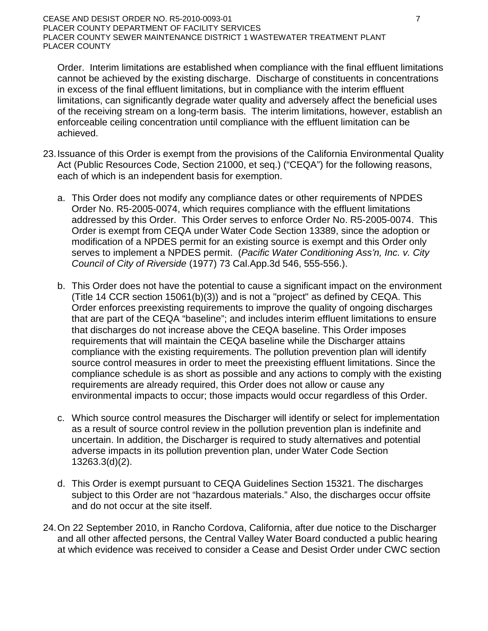Order. Interim limitations are established when compliance with the final effluent limitations cannot be achieved by the existing discharge. Discharge of constituents in concentrations in excess of the final effluent limitations, but in compliance with the interim effluent limitations, can significantly degrade water quality and adversely affect the beneficial uses of the receiving stream on a long-term basis. The interim limitations, however, establish an enforceable ceiling concentration until compliance with the effluent limitation can be achieved.

- 23.Issuance of this Order is exempt from the provisions of the California Environmental Quality Act (Public Resources Code, Section 21000, et seq.) ("CEQA") for the following reasons, each of which is an independent basis for exemption.
	- a. This Order does not modify any compliance dates or other requirements of NPDES Order No. R5-2005-0074, which requires compliance with the effluent limitations addressed by this Order. This Order serves to enforce Order No. R5-2005-0074. This Order is exempt from CEQA under Water Code Section 13389, since the adoption or modification of a NPDES permit for an existing source is exempt and this Order only serves to implement a NPDES permit. (*Pacific Water Conditioning Ass'n, Inc. v. City Council of City of Riverside* (1977) 73 Cal.App.3d 546, 555-556.).
	- b. This Order does not have the potential to cause a significant impact on the environment (Title 14 CCR section 15061(b)(3)) and is not a "project" as defined by CEQA. This Order enforces preexisting requirements to improve the quality of ongoing discharges that are part of the CEQA "baseline"; and includes interim effluent limitations to ensure that discharges do not increase above the CEQA baseline. This Order imposes requirements that will maintain the CEQA baseline while the Discharger attains compliance with the existing requirements. The pollution prevention plan will identify source control measures in order to meet the preexisting effluent limitations. Since the compliance schedule is as short as possible and any actions to comply with the existing requirements are already required, this Order does not allow or cause any environmental impacts to occur; those impacts would occur regardless of this Order.
	- c. Which source control measures the Discharger will identify or select for implementation as a result of source control review in the pollution prevention plan is indefinite and uncertain. In addition, the Discharger is required to study alternatives and potential adverse impacts in its pollution prevention plan, under Water Code Section 13263.3(d)(2).
	- d. This Order is exempt pursuant to CEQA Guidelines Section 15321. The discharges subject to this Order are not "hazardous materials." Also, the discharges occur offsite and do not occur at the site itself.
- 24.On 22 September 2010, in Rancho Cordova, California, after due notice to the Discharger and all other affected persons, the Central Valley Water Board conducted a public hearing at which evidence was received to consider a Cease and Desist Order under CWC section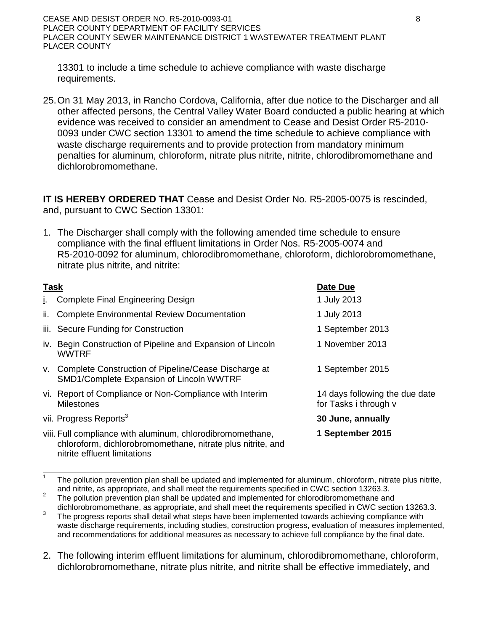CEASE AND DESIST ORDER NO. R5-2010-0093-01 8 PLACER COUNTY DEPARTMENT OF FACILITY SERVICES PLACER COUNTY SEWER MAINTENANCE DISTRICT 1 WASTEWATER TREATMENT PLANT PLACER COUNTY

13301 to include a time schedule to achieve compliance with waste discharge requirements.

25.On 31 May 2013, in Rancho Cordova, California, after due notice to the Discharger and all other affected persons, the Central Valley Water Board conducted a public hearing at which evidence was received to consider an amendment to Cease and Desist Order R5-2010- 0093 under CWC section 13301 to amend the time schedule to achieve compliance with waste discharge requirements and to provide protection from mandatory minimum penalties for aluminum, chloroform, nitrate plus nitrite, nitrite, chlorodibromomethane and dichlorobromomethane.

**IT IS HEREBY ORDERED THAT** Cease and Desist Order No. R5-2005-0075 is rescinded, and, pursuant to CWC Section 13301:

1. The Discharger shall comply with the following amended time schedule to ensure compliance with the final effluent limitations in Order Nos. R5-2005-0074 and R5-2010-0092 for aluminum, chlorodibromomethane, chloroform, dichlorobromomethane, nitrate plus nitrite, and nitrite:

| <u>Task</u> |                                                                                                                                                           | Date Due                                                |
|-------------|-----------------------------------------------------------------------------------------------------------------------------------------------------------|---------------------------------------------------------|
| Τ.          | <b>Complete Final Engineering Design</b>                                                                                                                  | 1 July 2013                                             |
| Ш.          | <b>Complete Environmental Review Documentation</b>                                                                                                        | 1 July 2013                                             |
|             | iii. Secure Funding for Construction                                                                                                                      | 1 September 2013                                        |
|             | iv. Begin Construction of Pipeline and Expansion of Lincoln<br><b>WWTRF</b>                                                                               | 1 November 2013                                         |
|             | v. Complete Construction of Pipeline/Cease Discharge at<br>SMD1/Complete Expansion of Lincoln WWTRF                                                       | 1 September 2015                                        |
|             | vi. Report of Compliance or Non-Compliance with Interim<br><b>Milestones</b>                                                                              | 14 days following the due date<br>for Tasks i through v |
|             | vii. Progress Reports <sup>3</sup>                                                                                                                        | 30 June, annually                                       |
|             | viii. Full compliance with aluminum, chlorodibromomethane,<br>chloroform, dichlorobromomethane, nitrate plus nitrite, and<br>nitrite effluent limitations | 1 September 2015                                        |

<sup>&</sup>lt;sup>1</sup> The pollution prevention plan shall be updated and implemented for aluminum, chloroform, nitrate plus nitrite, and nitrite, as appropriate, and shall meet the requirements specified in CWC section 13263.3.<br><sup>2</sup> The pollution prevention plan shall be updated and implemented for chlorodibromomethane and

dichlorobromomethane, as appropriate, and shall meet the requirements specified in CWC section 13263.3.

The progress reports shall detail what steps have been implemented towards achieving compliance with waste discharge requirements, including studies, construction progress, evaluation of measures implemented, and recommendations for additional measures as necessary to achieve full compliance by the final date.

<sup>2.</sup> The following interim effluent limitations for aluminum, chlorodibromomethane, chloroform, dichlorobromomethane, nitrate plus nitrite, and nitrite shall be effective immediately, and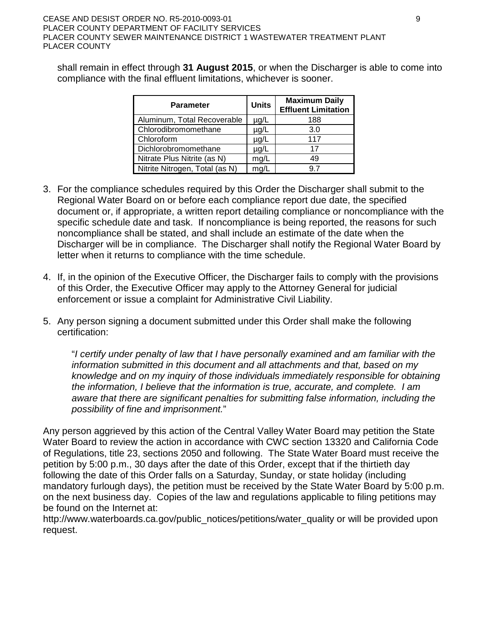shall remain in effect through **31 August 2015**, or when the Discharger is able to come into compliance with the final effluent limitations, whichever is sooner.

| <b>Parameter</b>               | <b>Units</b> | <b>Maximum Daily</b><br><b>Effluent Limitation</b> |
|--------------------------------|--------------|----------------------------------------------------|
| Aluminum, Total Recoverable    | $\mu$ g/L    | 188                                                |
| Chlorodibromomethane           | µg/L         | 3.0                                                |
| Chloroform                     | $\mu$ g/L    | 117                                                |
| Dichlorobromomethane           | $\mu$ g/L    | 17                                                 |
| Nitrate Plus Nitrite (as N)    | mg/L         | 49                                                 |
| Nitrite Nitrogen, Total (as N) | ma/L         |                                                    |

- 3. For the compliance schedules required by this Order the Discharger shall submit to the Regional Water Board on or before each compliance report due date, the specified document or, if appropriate, a written report detailing compliance or noncompliance with the specific schedule date and task. If noncompliance is being reported, the reasons for such noncompliance shall be stated, and shall include an estimate of the date when the Discharger will be in compliance. The Discharger shall notify the Regional Water Board by letter when it returns to compliance with the time schedule.
- 4. If, in the opinion of the Executive Officer, the Discharger fails to comply with the provisions of this Order, the Executive Officer may apply to the Attorney General for judicial enforcement or issue a complaint for Administrative Civil Liability.
- 5. Any person signing a document submitted under this Order shall make the following certification:

"*I certify under penalty of law that I have personally examined and am familiar with the information submitted in this document and all attachments and that, based on my knowledge and on my inquiry of those individuals immediately responsible for obtaining the information, I believe that the information is true, accurate, and complete. I am aware that there are significant penalties for submitting false information, including the possibility of fine and imprisonment.*"

Any person aggrieved by this action of the Central Valley Water Board may petition the State Water Board to review the action in accordance with CWC section 13320 and California Code of Regulations, title 23, sections 2050 and following. The State Water Board must receive the petition by 5:00 p.m., 30 days after the date of this Order, except that if the thirtieth day following the date of this Order falls on a Saturday, Sunday, or state holiday (including mandatory furlough days), the petition must be received by the State Water Board by 5:00 p.m. on the next business day. Copies of the law and regulations applicable to filing petitions may be found on the Internet at:

[http://www.waterboards.ca.gov/public\\_notices/petitions/water\\_quality](http://www.waterboards.ca.gov/public_notices/petitions/water_quality) or will be provided upon request.